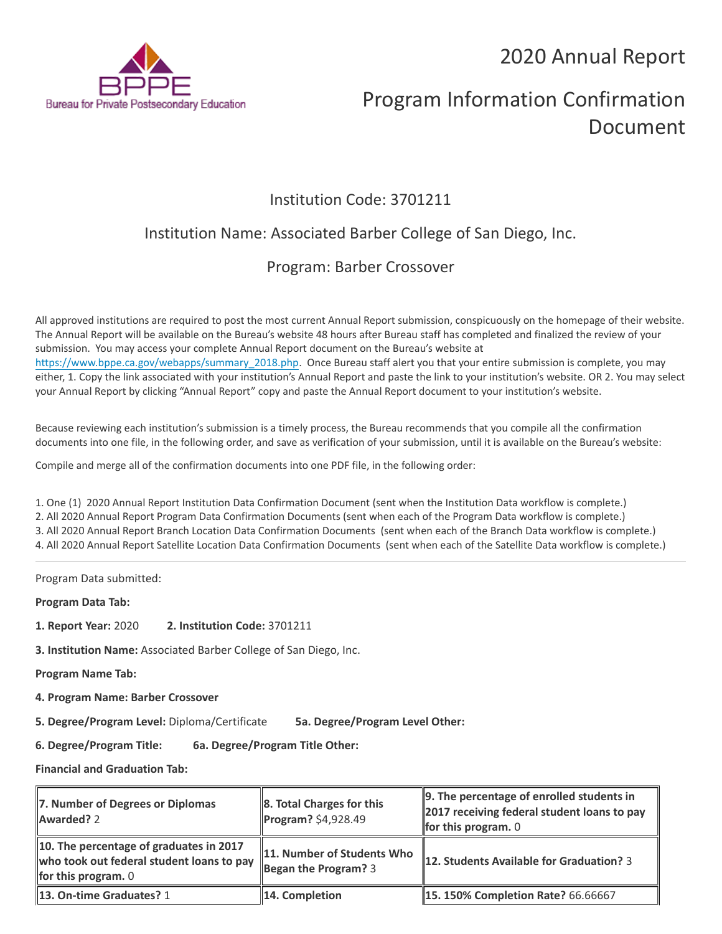2020 Annual Report



# Program Information Confirmation Document

# Institution Code: 3701211

# Institution Name: Associated Barber College of San Diego, Inc.

# Program: Barber Crossover

All approved institutions are required to post the most current Annual Report submission, conspicuously on the homepage of their website. The Annual Report will be available on the Bureau's website 48 hours after Bureau staff has completed and finalized the review of your submission. You may access your complete Annual Report document on the Bureau's website at [https://www.bppe.ca.gov/webapps/summary\\_2018.php.](https://www.bppe.ca.gov/webapps/summary_2018.php) Once Bureau staff alert you that your entire submission is complete, you may either, 1. Copy the link associated with your institution's Annual Report and paste the link to your institution's website. OR 2. You may select your Annual Report by clicking "Annual Report" copy and paste the Annual Report document to your institution's website.

Because reviewing each institution's submission is a timely process, the Bureau recommends that you compile all the confirmation documents into one file, in the following order, and save as verification of your submission, until it is available on the Bureau's website:

Compile and merge all of the confirmation documents into one PDF file, in the following order:

1. One (1) 2020 Annual Report Institution Data Confirmation Document (sent when the Institution Data workflow is complete.) 2. All 2020 Annual Report Program Data Confirmation Documents (sent when each of the Program Data workflow is complete.) 3. All 2020 Annual Report Branch Location Data Confirmation Documents (sent when each of the Branch Data workflow is complete.) 4. All 2020 Annual Report Satellite Location Data Confirmation Documents (sent when each of the Satellite Data workflow is complete.)

Program Data submitted:

**Program Data Tab:**

- **1. Report Year:** 2020 **2. Institution Code:** 3701211
- **3. Institution Name:** Associated Barber College of San Diego, Inc.

**Program Name Tab:**

**4. Program Name: Barber Crossover** 

**5. Degree/Program Level:** Diploma/Certificate **5a. Degree/Program Level Other:**

**6. Degree/Program Title: 6a. Degree/Program Title Other:**

**Financial and Graduation Tab:**

| 7. Number of Degrees or Diplomas<br>Awarded? 2                                                                | $\ 8.$ Total Charges for this<br>$\ $ Program? \$4,928.49 | 9. The percentage of enrolled students in<br>2017 receiving federal student loans to pay<br><b>for this program.</b> $0$ |
|---------------------------------------------------------------------------------------------------------------|-----------------------------------------------------------|--------------------------------------------------------------------------------------------------------------------------|
| 10. The percentage of graduates in 2017<br>who took out federal student loans to pay<br>for this program. $0$ | 11. Number of Students Who<br>Began the Program? $3$      | 12. Students Available for Graduation? 3                                                                                 |
| 13. On-time Graduates? 1                                                                                      | $\parallel$ 14. Completion                                | <b>15. 150% Completion Rate? 66.66667</b>                                                                                |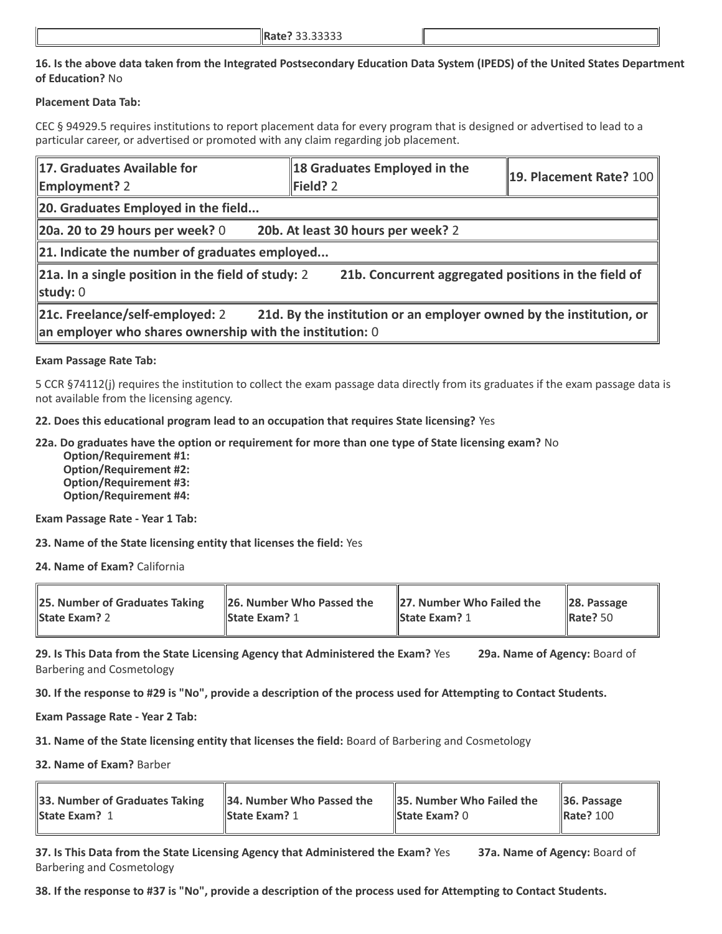## **16. Is the above data taken from the Integrated Postsecondary Education Data System (IPEDS) of the United States Department of Education?** No

### **Placement Data Tab:**

CEC § 94929.5 requires institutions to report placement data for every program that is designed or advertised to lead to a particular career, or advertised or promoted with any claim regarding job placement.

| 17. Graduates Available for<br><b>Employment?</b> 2                                           | 18 Graduates Employed in the<br>Field? 2                            | $\parallel$ 19. Placement Rate? 100 |  |  |
|-----------------------------------------------------------------------------------------------|---------------------------------------------------------------------|-------------------------------------|--|--|
| 20. Graduates Employed in the field                                                           |                                                                     |                                     |  |  |
| 20a. 20 to 29 hours per week? $0$                                                             | 20b. At least 30 hours per week? 2                                  |                                     |  |  |
| $\ $ 21. Indicate the number of graduates employed                                            |                                                                     |                                     |  |  |
| $\ $ 21a. In a single position in the field of study: 2<br>study: $0$                         | 21b. Concurrent aggregated positions in the field of                |                                     |  |  |
| 21c. Freelance/self-employed: 2<br>an employer who shares ownership with the institution: $0$ | 21d. By the institution or an employer owned by the institution, or |                                     |  |  |

### **Exam Passage Rate Tab:**

5 CCR §74112(j) requires the institution to collect the exam passage data directly from its graduates if the exam passage data is not available from the licensing agency.

**22. Does this educational program lead to an occupation that requires State licensing?** Yes

**22a. Do graduates have the option or requirement for more than one type of State licensing exam?** No

 **Option/Requirement #1: Option/Requirement #2: Option/Requirement #3: Option/Requirement #4:**

**Exam Passage Rate - Year 1 Tab:**

**23. Name of the State licensing entity that licenses the field:** Yes

**24. Name of Exam?** California

| <b>25. Number of Graduates Taking</b> | <b>26. Number Who Passed the</b> | 27. Number Who Failed the | $\ 28.$ Passage      |
|---------------------------------------|----------------------------------|---------------------------|----------------------|
| <b>State Exam? 2</b>                  | <b>State Exam?</b> 1             | <b>State Exam? 1</b>      | $\parallel$ Rate? 50 |
|                                       |                                  |                           |                      |

**29. Is This Data from the State Licensing Agency that Administered the Exam?** Yes **29a. Name of Agency:** Board of Barbering and Cosmetology

**30. If the response to #29 is "No", provide a description of the process used for Attempting to Contact Students.**

**Exam Passage Rate - Year 2 Tab:**

**31. Name of the State licensing entity that licenses the field:** Board of Barbering and Cosmetology

**32. Name of Exam?** Barber

| 33. Number of Graduates Taking | 34. Number Who Passed the | <b>35. Number Who Failed the</b> | $\vert$ 36. Passage |
|--------------------------------|---------------------------|----------------------------------|---------------------|
| <b>State Exam? 1</b>           | <b>State Exam? 1</b>      | <b>State Exam?</b> $0$           | <b>Rate? 100</b>    |

**37. Is This Data from the State Licensing Agency that Administered the Exam?** Yes **37a. Name of Agency:** Board of Barbering and Cosmetology

**38. If the response to #37 is "No", provide a description of the process used for Attempting to Contact Students.**